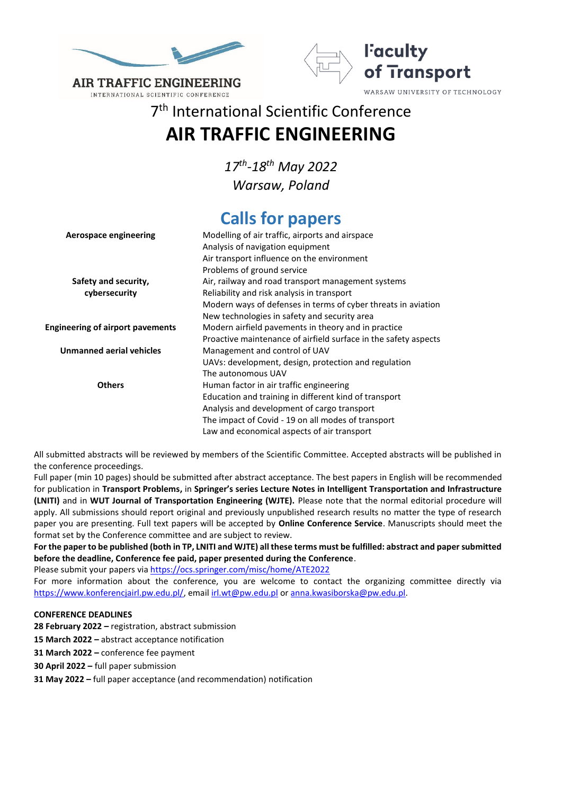

INTERNATIONAL SCIENTIFIC CONFERENCE



7 th International Scientific Conference **AIR TRAFFIC ENGINEERING**

> *17th -18th May 2022 Warsaw, Poland*

# **Calls for papers**

| Aerospace engineering                   | Modelling of air traffic, airports and airspace                 |
|-----------------------------------------|-----------------------------------------------------------------|
|                                         | Analysis of navigation equipment                                |
|                                         | Air transport influence on the environment                      |
|                                         | Problems of ground service                                      |
| Safety and security,                    | Air, railway and road transport management systems              |
| cybersecurity                           | Reliability and risk analysis in transport                      |
|                                         | Modern ways of defenses in terms of cyber threats in aviation   |
|                                         | New technologies in safety and security area                    |
| <b>Engineering of airport pavements</b> | Modern airfield pavements in theory and in practice             |
|                                         | Proactive maintenance of airfield surface in the safety aspects |
| Unmanned aerial vehicles                | Management and control of UAV                                   |
|                                         | UAVs: development, design, protection and regulation            |
|                                         | The autonomous UAV                                              |
| <b>Others</b>                           | Human factor in air traffic engineering                         |
|                                         | Education and training in different kind of transport           |
|                                         | Analysis and development of cargo transport                     |
|                                         | The impact of Covid - 19 on all modes of transport              |
|                                         | Law and economical aspects of air transport                     |

All submitted abstracts will be reviewed by members of the Scientific Committee. Accepted abstracts will be published in the conference proceedings.

Full paper (min 10 pages) should be submitted after abstract acceptance. The best papers in English will be recommended for publication in **Transport Problems,** in **Springer's series Lecture Notes in Intelligent Transportation and Infrastructure (LNITI)** and in **WUT Journal of Transportation Engineering (WJTE).** Please note that the normal editorial procedure will apply. All submissions should report original and previously unpublished research results no matter the type of research paper you are presenting. Full text papers will be accepted by **Online Conference Service**. Manuscripts should meet the format set by the Conference committee and are subject to review.

**For the paper to be published (both in TP, LNITI and WJTE) all these terms must be fulfilled: abstract and paper submitted before the deadline, Conference fee paid, paper presented during the Conference**.

Please submit your papers vi[a https://ocs.springer.com/misc/home/ATE2022](https://ocs.springer.com/misc/home/ATE2022)

For more information about the conference, you are welcome to contact the organizing committee directly via [https://www.konferencjairl.pw.edu.pl/,](https://www.konferencjairl.pw.edu.pl/) email [irl.wt@pw.edu.pl](mailto:irl.wt@pw.edu.pl) or [anna.kwasiborska@pw.edu.pl.](mailto:anna.kwasiborska@pw.edu.pl)

# **CONFERENCE DEADLINES**

**28 February 2022 –** registration, abstract submission

**15 March 2022 –** abstract acceptance notification

**31 March 2022 –** conference fee payment

**30 April 2022 –** full paper submission

**31 May 2022 –** full paper acceptance (and recommendation) notification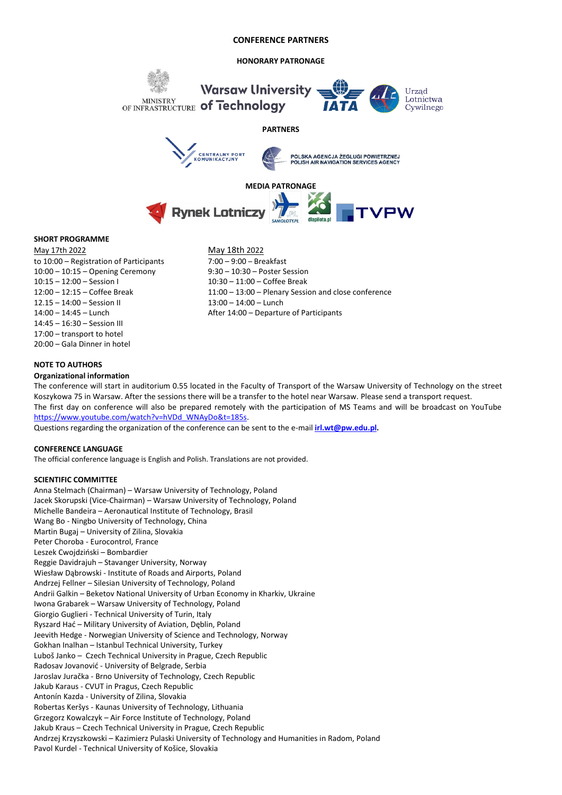#### **HONORARY PATRONAGE**



### **SHORT PROGRAMME**

May 17th 2022 May 18th 2022 to 10:00 – Registration of Participants 7:00 – 9:00 – Breakfast 10:00 – 10:15 – Opening Ceremony 9:30 – 10:30 – Poster Session 10:15 – 12:00 – Session I 10:30 – 11:00 – Coffee Break 12.15 – 14:00 – Session II 13:00 – 14:00 – Lunch 14:45 – 16:30 – Session III 17:00 – transport to hotel 20:00 – Gala Dinner in hotel

12:00 – 12:15 – Coffee Break 11:00 – 13:00 – Plenary Session and close conference 14:00 – 14:45 – Lunch After 14:00 – Departure of Participants

#### **NOTE TO AUTHORS**

#### **Organizational information**

The conference will start in auditorium 0.55 located in the Faculty of Transport of the Warsaw University of Technology on the street Koszykowa 75 in Warsaw. After the sessions there will be a transfer to the hotel near Warsaw. Please send a transport request. The first day on conference will also be prepared remotely with the participation of MS Teams and will be broadcast on YouTube [https://www.youtube.com/watch?v=hVDd\\_WNAyDo&t=185s.](https://www.youtube.com/watch?v=hVDd_WNAyDo&t=185s) 

Questions regarding the organization of the conference can be sent to the e-mail **[irl.wt@pw.edu.pl.](mailto:irl@wt.pw.edu.pl)** 

#### **CONFERENCE LANGUAGE**

The official conference language is English and Polish. Translations are not provided.

#### **SCIENTIFIC COMMITTEE**

Anna Stelmach (Chairman) – Warsaw University of Technology, Poland Jacek Skorupski (Vice-Chairman) – Warsaw University of Technology, Poland Michelle Bandeira – Aeronautical Institute of Technology, Brasil Wang Bo - Ningbo University of Technology, China Martin Bugaj – University of Zilina, Slovakia Peter Choroba - Eurocontrol, France Leszek Cwojdziński – Bombardier Reggie Davidrajuh – Stavanger University, Norway Wiesław Dąbrowski - Institute of Roads and Airports, Poland Andrzej Fellner – Silesian University of Technology, Poland Andrii Galkin – Beketov National University of Urban Economy in Kharkiv, Ukraine Iwona Grabarek – Warsaw University of Technology, Poland Giorgio Guglieri - Technical University of Turin, Italy Ryszard Hać – Military University of Aviation, Dęblin, Poland Jeevith Hedge - Norwegian University of Science and Technology, Norway Gokhan Inalhan – Istanbul Technical University, Turkey Luboš Janko – Czech Technical University in Prague, Czech Republic Radosav Jovanović - University of Belgrade, Serbia Jaroslav Juračka - Brno University of Technology, Czech Republic Jakub Karaus - CVUT in Pragus, Czech Republic Antonín Kazda - University of Zilina, Slovakia Robertas Keršys - Kaunas University of Technology, Lithuania Grzegorz Kowalczyk – Air Force Institute of Technology, Poland Jakub Kraus – Czech Technical University in Prague, Czech Republic Andrzej Krzyszkowski – Kazimierz Pulaski University of Technology and Humanities in Radom, Poland Pavol Kurdel - Technical University of Košice, Slovakia